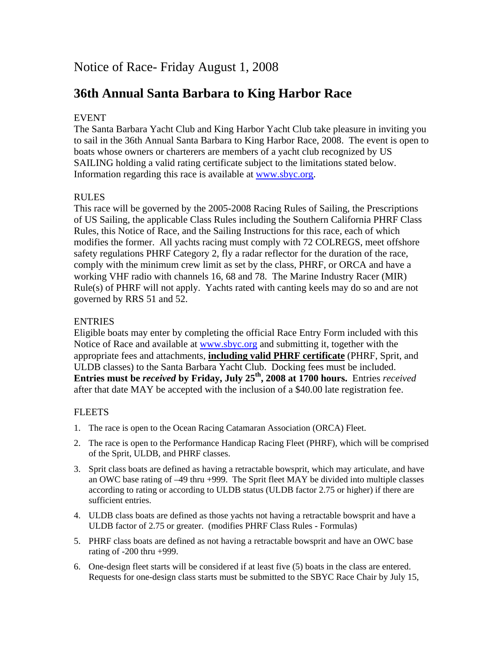# Notice of Race- Friday August 1, 2008

# **36th Annual Santa Barbara to King Harbor Race**

## EVENT

The Santa Barbara Yacht Club and King Harbor Yacht Club take pleasure in inviting you to sail in the 36th Annual Santa Barbara to King Harbor Race, 2008. The event is open to boats whose owners or charterers are members of a yacht club recognized by US SAILING holding a valid rating certificate subject to the limitations stated below. Information regarding this race is available at www.sbyc.org.

## RULES

This race will be governed by the 2005-2008 Racing Rules of Sailing, the Prescriptions of US Sailing, the applicable Class Rules including the Southern California PHRF Class Rules, this Notice of Race, and the Sailing Instructions for this race, each of which modifies the former. All yachts racing must comply with 72 COLREGS, meet offshore safety regulations PHRF Category 2, fly a radar reflector for the duration of the race, comply with the minimum crew limit as set by the class, PHRF, or ORCA and have a working VHF radio with channels 16, 68 and 78. The Marine Industry Racer (MIR) Rule(s) of PHRF will not apply. Yachts rated with canting keels may do so and are not governed by RRS 51 and 52.

## **ENTRIES**

Eligible boats may enter by completing the official Race Entry Form included with this Notice of Race and available at www.sbyc.org and submitting it, together with the appropriate fees and attachments, **including valid PHRF certificate** (PHRF, Sprit, and ULDB classes) to the Santa Barbara Yacht Club. Docking fees must be included. **Entries must be** *received* **by Friday, July 25<sup>th</sup>, 2008 at 1700 hours.** Entries *received* after that date MAY be accepted with the inclusion of a \$40.00 late registration fee.

## FLEETS

- 1. The race is open to the Ocean Racing Catamaran Association (ORCA) Fleet.
- 2. The race is open to the Performance Handicap Racing Fleet (PHRF), which will be comprised of the Sprit, ULDB, and PHRF classes.
- 3. Sprit class boats are defined as having a retractable bowsprit, which may articulate, and have an OWC base rating of –49 thru +999. The Sprit fleet MAY be divided into multiple classes according to rating or according to ULDB status (ULDB factor 2.75 or higher) if there are sufficient entries.
- 4. ULDB class boats are defined as those yachts not having a retractable bowsprit and have a ULDB factor of 2.75 or greater. (modifies PHRF Class Rules - Formulas)
- 5. PHRF class boats are defined as not having a retractable bowsprit and have an OWC base rating of -200 thru +999.
- 6. One-design fleet starts will be considered if at least five (5) boats in the class are entered. Requests for one-design class starts must be submitted to the SBYC Race Chair by July 15,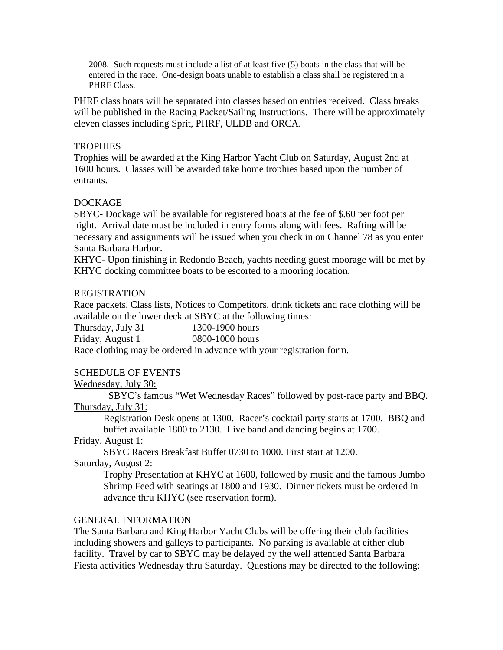2008. Such requests must include a list of at least five (5) boats in the class that will be entered in the race. One-design boats unable to establish a class shall be registered in a PHRF Class.

PHRF class boats will be separated into classes based on entries received. Class breaks will be published in the Racing Packet/Sailing Instructions. There will be approximately eleven classes including Sprit, PHRF, ULDB and ORCA.

#### **TROPHIES**

Trophies will be awarded at the King Harbor Yacht Club on Saturday, August 2nd at 1600 hours. Classes will be awarded take home trophies based upon the number of entrants.

### DOCKAGE

SBYC- Dockage will be available for registered boats at the fee of \$.60 per foot per night. Arrival date must be included in entry forms along with fees. Rafting will be necessary and assignments will be issued when you check in on Channel 78 as you enter Santa Barbara Harbor.

KHYC- Upon finishing in Redondo Beach, yachts needing guest moorage will be met by KHYC docking committee boats to be escorted to a mooring location.

#### REGISTRATION

Race packets, Class lists, Notices to Competitors, drink tickets and race clothing will be available on the lower deck at SBYC at the following times:

Thursday, July 31 1300-1900 hours

Friday, August 1 0800-1000 hours

Race clothing may be ordered in advance with your registration form.

### SCHEDULE OF EVENTS

### Wednesday, July 30:

 SBYC's famous "Wet Wednesday Races" followed by post-race party and BBQ. Thursday, July 31:

Registration Desk opens at 1300. Racer's cocktail party starts at 1700. BBQ and buffet available 1800 to 2130. Live band and dancing begins at 1700.

### Friday, August 1:

SBYC Racers Breakfast Buffet 0730 to 1000. First start at 1200.

### Saturday, August 2:

Trophy Presentation at KHYC at 1600, followed by music and the famous Jumbo Shrimp Feed with seatings at 1800 and 1930. Dinner tickets must be ordered in advance thru KHYC (see reservation form).

### GENERAL INFORMATION

The Santa Barbara and King Harbor Yacht Clubs will be offering their club facilities including showers and galleys to participants. No parking is available at either club facility. Travel by car to SBYC may be delayed by the well attended Santa Barbara Fiesta activities Wednesday thru Saturday. Questions may be directed to the following: